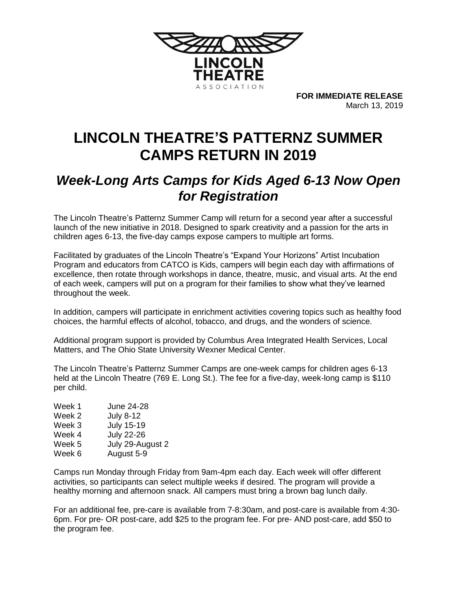

**FOR IMMEDIATE RELEASE** March 13, 2019

## **LINCOLN THEATRE'S PATTERNZ SUMMER CAMPS RETURN IN 2019**

## *Week-Long Arts Camps for Kids Aged 6-13 Now Open for Registration*

The Lincoln Theatre's Patternz Summer Camp will return for a second year after a successful launch of the new initiative in 2018. Designed to spark creativity and a passion for the arts in children ages 6-13, the five-day camps expose campers to multiple art forms.

Facilitated by graduates of the Lincoln Theatre's "Expand Your Horizons" Artist Incubation Program and educators from CATCO is Kids, campers will begin each day with affirmations of excellence, then rotate through workshops in dance, theatre, music, and visual arts. At the end of each week, campers will put on a program for their families to show what they've learned throughout the week.

In addition, campers will participate in enrichment activities covering topics such as healthy food choices, the harmful effects of alcohol, tobacco, and drugs, and the wonders of science.

Additional program support is provided by Columbus Area Integrated Health Services, Local Matters, and The Ohio State University Wexner Medical Center.

The Lincoln Theatre's Patternz Summer Camps are one-week camps for children ages 6-13 held at the Lincoln Theatre (769 E. Long St.). The fee for a five-day, week-long camp is \$110 per child.

| Week 1 | June 24-28        |
|--------|-------------------|
| Week 2 | <b>July 8-12</b>  |
| Week 3 | <b>July 15-19</b> |
| Week 4 | <b>July 22-26</b> |
| Week 5 | July 29-August 2  |
| Week 6 | August 5-9        |
|        |                   |

Camps run Monday through Friday from 9am-4pm each day. Each week will offer different activities, so participants can select multiple weeks if desired. The program will provide a healthy morning and afternoon snack. All campers must bring a brown bag lunch daily.

For an additional fee, pre-care is available from 7-8:30am, and post-care is available from 4:30- 6pm. For pre- OR post-care, add \$25 to the program fee. For pre- AND post-care, add \$50 to the program fee.